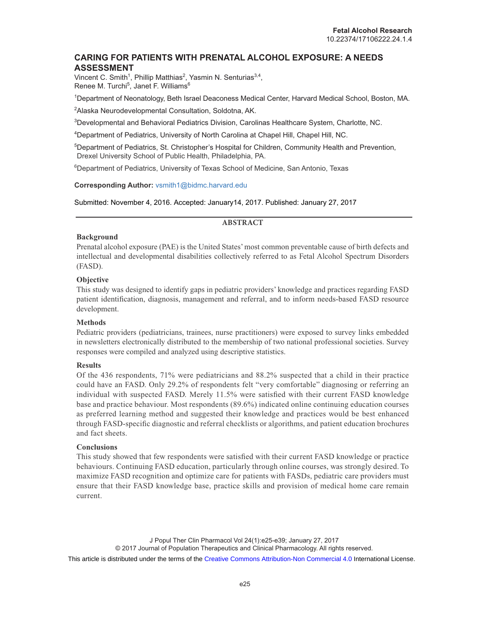# **CARING FOR PATIENTS WITH PRENATAL ALCOHOL EXPOSURE: A NEEDS ASSESSMENT**

Vincent C. Smith<sup>1</sup>, Phillip Matthias<sup>2</sup>, Yasmin N. Senturias<sup>3,4</sup>, Renee M. Turchi<sup>5</sup>, Janet F. Williams<sup>6</sup>

1 Department of Neonatology, Beth Israel Deaconess Medical Center, Harvard Medical School, Boston, MA.

2 Alaska Neurodevelopmental Consultation, Soldotna, AK.

3 Developmental and Behavioral Pediatrics Division, Carolinas Healthcare System, Charlotte, NC.

4 Department of Pediatrics, University of North Carolina at Chapel Hill, Chapel Hill, NC.

5 Department of Pediatrics, St. Christopher's Hospital for Children, Community Health and Prevention, Drexel University School of Public Health, Philadelphia, PA.

<sup>6</sup>Department of Pediatrics, University of Texas School of Medicine, San Antonio, Texas

# **Corresponding Author:** vsmith1@bidmc.harvard.edu

Submitted: November 4, 2016. Accepted: January14, 2017. Published: January 27, 2017

# **ABSTRACT**

# **Background**

Prenatal alcohol exposure (PAE) is the United States' most common preventable cause of birth defects and intellectual and developmental disabilities collectively referred to as Fetal Alcohol Spectrum Disorders (FASD).

# **Objective**

This study was designed to identify gaps in pediatric providers' knowledge and practices regarding FASD patient identification, diagnosis, management and referral, and to inform needs-based FASD resource development.

# **Methods**

Pediatric providers (pediatricians, trainees, nurse practitioners) were exposed to survey links embedded in newsletters electronically distributed to the membership of two national professional societies. Survey responses were compiled and analyzed using descriptive statistics.

# **Results**

Of the 436 respondents, 71% were pediatricians and 88.2% suspected that a child in their practice could have an FASD. Only 29.2% of respondents felt "very comfortable" diagnosing or referring an individual with suspected FASD. Merely 11.5% were satisfied with their current FASD knowledge base and practice behaviour. Most respondents (89.6%) indicated online continuing education courses as preferred learning method and suggested their knowledge and practices would be best enhanced through FASD-specific diagnostic and referral checklists or algorithms, and patient education brochures and fact sheets.

# **Conclusions**

This study showed that few respondents were satisfied with their current FASD knowledge or practice behaviours. Continuing FASD education, particularly through online courses, was strongly desired. To maximize FASD recognition and optimize care for patients with FASDs, pediatric care providers must ensure that their FASD knowledge base, practice skills and provision of medical home care remain current.

This article is distributed under the terms of the [Creative Commons Attribution-Non Commercial 4.0](https://creativecommons.org/licenses/by-nc/4.0/) International License.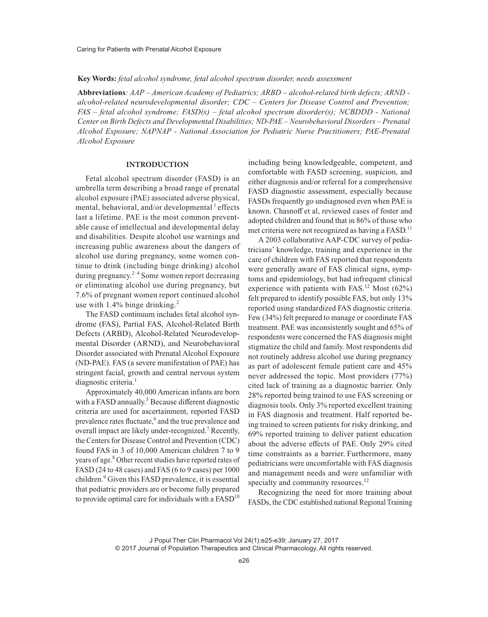#### **Key Words:** *fetal alcohol syndrome, fetal alcohol spectrum disorder, needs assessment*

**Abbreviations***: AAP – American Academy of Pediatrics; ARBD – alcohol-related birth defects; ARND alcohol-related neurodevelopmental disorder; CDC – Centers for Disease Control and Prevention; FAS – fetal alcohol syndrome; FASD(s) – fetal alcohol spectrum disorder(s); NCBDDD - National Center on Birth Defects and Developmental Disabilities; ND-PAE – Neurobehavioral Disorders – Prenatal Alcohol Exposure; NAPNAP - National Association for Pediatric Nurse Practitioners; PAE-Prenatal Alcohol Exposure*

## **INTRODUCTION**

Fetal alcohol spectrum disorder (FASD) is an umbrella term describing a broad range of prenatal alcohol exposure (PAE) associated adverse physical, mental, behavioral, and/or developmental  $<sup>1</sup>$  effects</sup> last a lifetime. PAE is the most common preventable cause of intellectual and developmental delay and disabilities. Despite alcohol use warnings and increasing public awareness about the dangers of alcohol use during pregnancy, some women continue to drink (including binge drinking) alcohol during pregnancy. $2^{-4}$  Some women report decreasing or eliminating alcohol use during pregnancy, but 7.6% of pregnant women report continued alcohol use with  $1.4\%$  binge drinking.<sup>2</sup>

The FASD continuum includes fetal alcohol syndrome (FAS), Partial FAS, Alcohol-Related Birth Defects (ARBD), Alcohol-Related Neurodevelopmental Disorder (ARND), and Neurobehavioral Disorder associated with Prenatal Alcohol Exposure (ND-PAE). FAS (a severe manifestation of PAE) has stringent facial, growth and central nervous system diagnostic criteria.<sup>1</sup>

Approximately 40,000 American infants are born with a FASD annually.<sup>5</sup> Because different diagnostic criteria are used for ascertainment, reported FASD prevalence rates fluctuate,<sup>6</sup> and the true prevalence and overall impact are likely under-recognized.<sup>7</sup> Recently, the Centers for Disease Control and Prevention (CDC) found FAS in 3 of 10,000 American children 7 to 9 years of age.<sup>8</sup> Other recent studies have reported rates of FASD (24 to 48 cases) and FAS (6 to 9 cases) per 1000 children.<sup>9</sup> Given this FASD prevalence, it is essential that pediatric providers are or become fully prepared to provide optimal care for individuals with a  $FASD<sup>10</sup>$ 

including being knowledgeable, competent, and comfortable with FASD screening, suspicion, and either diagnosis and/or referral for a comprehensive FASD diagnostic assessment, especially because FASDs frequently go undiagnosed even when PAE is known. Chasnoff et al, reviewed cases of foster and adopted children and found that in 86% of those who met criteria were not recognized as having a FASD.<sup>11</sup>

A 2003 collaborative AAP-CDC survey of pediatricians' knowledge, training and experience in the care of children with FAS reported that respondents were generally aware of FAS clinical signs, symptoms and epidemiology, but had infrequent clinical experience with patients with FAS.<sup>12</sup> Most  $(62%)$ felt prepared to identify possible FAS, but only 13% reported using standardized FAS diagnostic criteria. Few (34%) felt prepared to manage or coordinate FAS treatment. PAE was inconsistently sought and 65% of respondents were concerned the FAS diagnosis might stigmatize the child and family. Most respondents did not routinely address alcohol use during pregnancy as part of adolescent female patient care and 45% never addressed the topic. Most providers (77%) cited lack of training as a diagnostic barrier. Only 28% reported being trained to use FAS screening or diagnosis tools. Only 3% reported excellent training in FAS diagnosis and treatment. Half reported being trained to screen patients for risky drinking, and 69% reported training to deliver patient education about the adverse effects of PAE. Only 29% cited time constraints as a barrier. Furthermore, many pediatricians were uncomfortable with FAS diagnosis and management needs and were unfamiliar with specialty and community resources.<sup>12</sup>

Recognizing the need for more training about FASDs, the CDC established national Regional Training

J Popul Ther Clin Pharmacol Vol 24(1):e25-e39; January 27, 2017 © 2017 Journal of Population Therapeutics and Clinical Pharmacology. All rights reserved.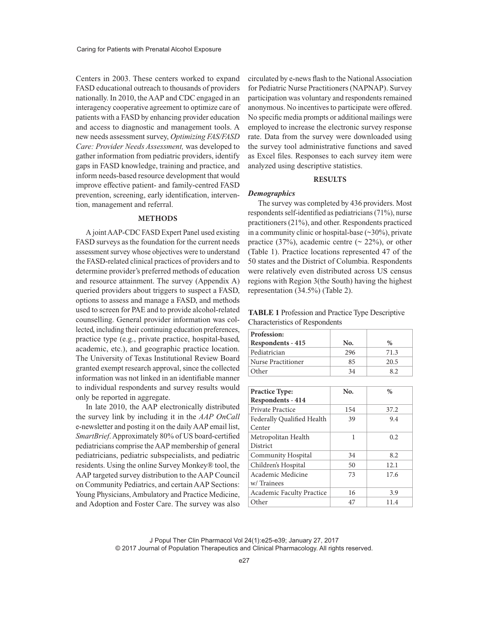Centers in 2003. These centers worked to expand FASD educational outreach to thousands of providers nationally. In 2010, the AAP and CDC engaged in an interagency cooperative agreement to optimize care of patients with a FASD by enhancing provider education and access to diagnostic and management tools. A new needs assessment survey, *Optimizing FAS/FASD Care: Provider Needs Assessment,* was developed to gather information from pediatric providers, identify gaps in FASD knowledge, training and practice, and inform needs-based resource development that would improve effective patient- and family-centred FASD prevention, screening, early identification, intervention, management and referral.

### **METHODS**

A joint AAP-CDC FASD Expert Panel used existing FASD surveys as the foundation for the current needs assessment survey whose objectives were to understand the FASD-related clinical practices of providers and to determine provider's preferred methods of education and resource attainment. The survey (Appendix A) queried providers about triggers to suspect a FASD, options to assess and manage a FASD, and methods used to screen for PAE and to provide alcohol-related counselling. General provider information was collected, including their continuing education preferences, practice type (e.g., private practice, hospital-based, academic, etc.), and geographic practice location. The University of Texas Institutional Review Board granted exempt research approval, since the collected information was not linked in an identifiable manner to individual respondents and survey results would only be reported in aggregate.

In late 2010, the AAP electronically distributed the survey link by including it in the *AAP OnCall* e-newsletter and posting it on the daily AAP email list, *SmartBrief*. Approximately 80% of US board-certified pediatricians comprise the AAP membership of general pediatricians, pediatric subspecialists, and pediatric residents. Using the online Survey Monkey® tool, the AAP targeted survey distribution to the AAP Council on Community Pediatrics, and certain AAP Sections: Young Physicians, Ambulatory and Practice Medicine, and Adoption and Foster Care. The survey was also circulated by e-news flash to the National Association for Pediatric Nurse Practitioners (NAPNAP). Survey participation was voluntary and respondents remained anonymous. No incentives to participate were offered. No specific media prompts or additional mailings were employed to increase the electronic survey response rate. Data from the survey were downloaded using the survey tool administrative functions and saved as Excel files. Responses to each survey item were analyzed using descriptive statistics.

### **RESULTS**

### *Demographics*

The survey was completed by 436 providers. Most respondents self-identified as pediatricians (71%), nurse practitioners (21%), and other. Respondents practiced in a community clinic or hospital-base  $(\sim 30\%)$ , private practice (37%), academic centre ( $\sim$  22%), or other (Table 1). Practice locations represented 47 of the 50 states and the District of Columbia. Respondents were relatively even distributed across US census regions with Region 3(the South) having the highest representation (34.5%) (Table 2).

| <b>TABLE 1</b> Profession and Practice Type Descriptive |  |
|---------------------------------------------------------|--|
| <b>Characteristics of Respondents</b>                   |  |

| Profession:<br>Respondents - 415 | No. | $\%$ |
|----------------------------------|-----|------|
| Pediatrician                     | 296 | 71.3 |
| Nurse Practitioner               | 85  | 20.5 |
| Other                            | 34  | 82   |

| <b>Practice Type:</b>      | No. | $\frac{0}{0}$ |
|----------------------------|-----|---------------|
| Respondents - 414          |     |               |
| Private Practice           | 154 | 37.2          |
| Federally Qualified Health | 39  | 9.4           |
| Center                     |     |               |
| Metropolitan Health        | 1   | 0.2.          |
| District                   |     |               |
| Community Hospital         | 34  | 8.2           |
| Children's Hospital        | 50  | 12.1          |
| Academic Medicine          | 73  | 17.6          |
| w/Trainees                 |     |               |
| Academic Faculty Practice  | 16  | 3.9           |
| Other                      | 47  | 11.4          |

J Popul Ther Clin Pharmacol Vol 24(1):e25-e39; January 27, 2017 © 2017 Journal of Population Therapeutics and Clinical Pharmacology. All rights reserved.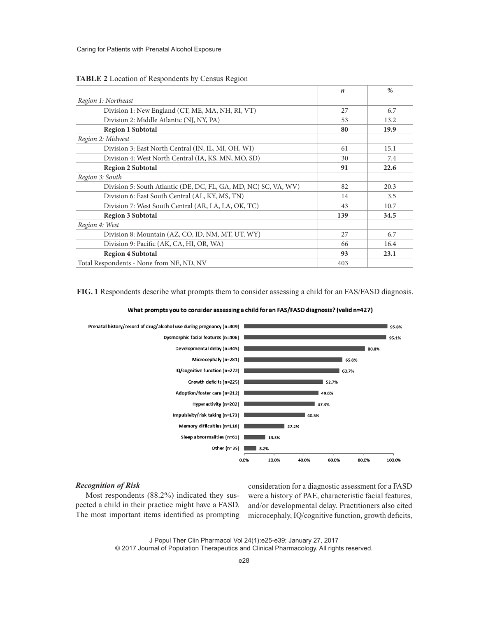|                                                                 | $\boldsymbol{n}$ | $\%$ |
|-----------------------------------------------------------------|------------------|------|
| Region 1: Northeast                                             |                  |      |
| Division 1: New England (CT, ME, MA, NH, RI, VT)                | 27               | 6.7  |
| Division 2: Middle Atlantic (NJ, NY, PA)                        | 53               | 13.2 |
| <b>Region 1 Subtotal</b>                                        | 80               | 19.9 |
| Region 2: Midwest                                               |                  |      |
| Division 3: East North Central (IN, IL, MI, OH, WI)             | 61               | 15.1 |
| Division 4: West North Central (IA, KS, MN, MO, SD)             | 30               | 7.4  |
| <b>Region 2 Subtotal</b>                                        | 91               | 22.6 |
| Region 3: South                                                 |                  |      |
| Division 5: South Atlantic (DE, DC, FL, GA, MD, NC) SC, VA, WV) | 82               | 20.3 |
| Division 6: East South Central (AL, KY, MS, TN)                 | 14               | 3.5  |
| Division 7: West South Central (AR, LA, LA, OK, TC)             | 43               | 10.7 |
| <b>Region 3 Subtotal</b>                                        | 139              | 34.5 |
| Region 4: West                                                  |                  |      |
| Division 8: Mountain (AZ, CO, ID, NM, MT, UT, WY)               | 27               | 6.7  |
| Division 9: Pacific (AK, CA, HI, OR, WA)                        | 66               | 16.4 |
| <b>Region 4 Subtotal</b>                                        | 93               | 23.1 |
| Total Respondents - None from NE, ND, NV                        | 403              |      |

#### **TABLE 2** Location of Respondents by Census Region

**FIG. 1** Respondents describe what prompts them to consider assessing a child for an FAS/FASD diagnosis.

#### What prompts you to consider assessing a child for an FAS/FASD diagnosis? (valid n=427)



## *Recognition of Risk*

Most respondents (88.2%) indicated they suspected a child in their practice might have a FASD. The most important items identified as prompting consideration for a diagnostic assessment for a FASD were a history of PAE, characteristic facial features, and/or developmental delay. Practitioners also cited microcephaly, IQ/cognitive function, growth deficits,

J Popul Ther Clin Pharmacol Vol 24(1):e25-e39; January 27, 2017 © 2017 Journal of Population Therapeutics and Clinical Pharmacology. All rights reserved.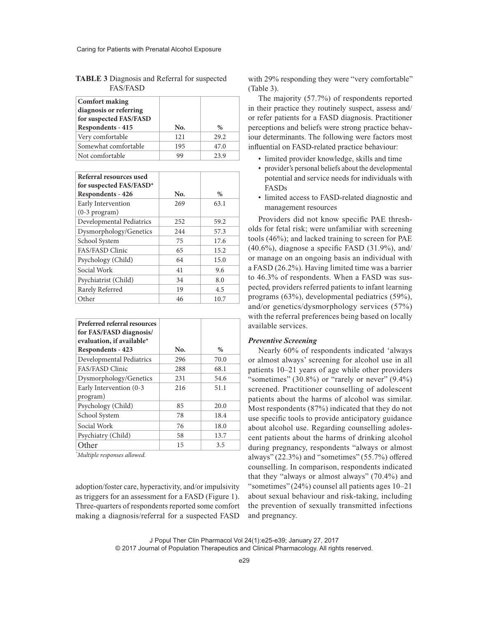| <b>Comfort making</b><br>diagnosis or referring<br>for suspected FAS/FASD<br>Respondents - 415 | No. | $\%$ |
|------------------------------------------------------------------------------------------------|-----|------|
| Very comfortable                                                                               | 121 | 29.2 |
| Somewhat comfortable                                                                           | 195 | 47.0 |
| Not comfortable                                                                                | 99  | 23.9 |

**TABLE 3** Diagnosis and Referral for suspected FAS/FASD

| Referral resources used<br>for suspected FAS/FASD*<br>Respondents - 426 | No. | $\%$ |
|-------------------------------------------------------------------------|-----|------|
|                                                                         |     |      |
| Early Intervention<br>$(0-3$ program)                                   | 269 | 63.1 |
| Developmental Pediatrics                                                | 252 | 59.2 |
| Dysmorphology/Genetics                                                  | 244 | 57.3 |
| School System                                                           | 75  | 17.6 |
| <b>FAS/FASD Clinic</b>                                                  | 65  | 15.2 |
| Psychology (Child)                                                      | 64  | 15.0 |
| Social Work                                                             | 41  | 9.6  |
| Psychiatrist (Child)                                                    | 34  | 8.0  |
| Rarely Referred                                                         | 19  | 4.5  |
| Other                                                                   | 46  | 10.7 |

| Preferred referral resources<br>for FAS/FASD diagnosis/<br>evaluation, if available* |     |      |
|--------------------------------------------------------------------------------------|-----|------|
| Respondents - 423                                                                    | No. | $\%$ |
| Developmental Pediatrics                                                             | 296 | 70.0 |
| <b>FAS/FASD Clinic</b>                                                               | 288 | 68.1 |
| Dysmorphology/Genetics                                                               | 231 | 54.6 |
| Early Intervention (0-3<br>program)                                                  | 216 | 51.1 |
| Psychology (Child)                                                                   | 85  | 20.0 |
| School System                                                                        | 78  | 18.4 |
| Social Work                                                                          | 76  | 18.0 |
| Psychiatry (Child)                                                                   | 58  | 13.7 |
| Other                                                                                | 15  | 3.5  |

*\* Multiple responses allowed.*

adoption/foster care, hyperactivity, and/or impulsivity as triggers for an assessment for a FASD (Figure 1). Three-quarters of respondents reported some comfort making a diagnosis/referral for a suspected FASD with 29% responding they were "very comfortable" (Table 3).

The majority (57.7%) of respondents reported in their practice they routinely suspect, assess and/ or refer patients for a FASD diagnosis. Practitioner perceptions and beliefs were strong practice behaviour determinants. The following were factors most influential on FASD-related practice behaviour:

- limited provider knowledge, skills and time
- provider's personal beliefs about the developmental potential and service needs for individuals with FASDs
- limited access to FASD-related diagnostic and management resources

Providers did not know specific PAE thresholds for fetal risk; were unfamiliar with screening tools (46%); and lacked training to screen for PAE  $(40.6\%)$ , diagnose a specific FASD  $(31.9\%)$ , and/ or manage on an ongoing basis an individual with a FASD (26.2%). Having limited time was a barrier to 46.3% of respondents. When a FASD was suspected, providers referred patients to infant learning programs (63%), developmental pediatrics (59%), and/or genetics/dysmorphology services (57%) with the referral preferences being based on locally available services.

#### *Preventive Screening*

Nearly 60% of respondents indicated 'always or almost always' screening for alcohol use in all patients 10–21 years of age while other providers "sometimes"  $(30.8\%)$  or "rarely or never"  $(9.4\%)$ screened. Practitioner counselling of adolescent patients about the harms of alcohol was similar. Most respondents (87%) indicated that they do not use specific tools to provide anticipatory guidance about alcohol use. Regarding counselling adolescent patients about the harms of drinking alcohol during pregnancy, respondents "always or almost always" (22.3%) and "sometimes" (55.7%) offered counselling. In comparison, respondents indicated that they "always or almost always" (70.4%) and "sometimes" (24%) counsel all patients ages 10–21 about sexual behaviour and risk-taking, including the prevention of sexually transmitted infections and pregnancy.

J Popul Ther Clin Pharmacol Vol 24(1):e25-e39; January 27, 2017 © 2017 Journal of Population Therapeutics and Clinical Pharmacology. All rights reserved.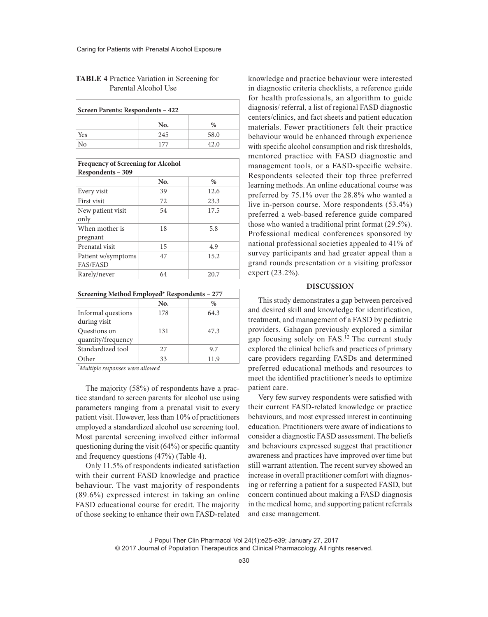| Screen Parents: Respondents - 422 |     |      |
|-----------------------------------|-----|------|
|                                   | No. | $\%$ |
| Yes                               | 245 | 58.0 |
| No                                | 177 | 42.0 |

## **TABLE 4** Practice Variation in Screening for Parental Alcohol Use

| <b>Frequency of Screening for Alcohol</b> |     |      |  |
|-------------------------------------------|-----|------|--|
| Respondents - 309                         |     |      |  |
|                                           | No. | $\%$ |  |
| Every visit                               | 39  | 12.6 |  |
| First visit                               | 72  | 23.3 |  |
| New patient visit                         | 54  | 17.5 |  |
| only                                      |     |      |  |
| When mother is                            | 18  | 5.8  |  |
| pregnant                                  |     |      |  |
| Prenatal visit                            | 15  | 4.9  |  |
| Patient w/symptoms                        | 47  | 15.2 |  |
| <b>FAS/FASD</b>                           |     |      |  |
| Rarely/never                              | 64  | 20.7 |  |

| Screening Method Employed* Respondents - 277 |     |      |
|----------------------------------------------|-----|------|
|                                              | No. | $\%$ |
| Informal questions<br>during visit           | 178 | 64.3 |
| Questions on<br>quantity/frequency           | 131 | 47.3 |
| Standardized tool                            | 27  | 9.7  |
| Other                                        | 33  | 11.9 |

*\* Multiple responses were allowed*

The majority (58%) of respondents have a practice standard to screen parents for alcohol use using parameters ranging from a prenatal visit to every patient visit. However, less than 10% of practitioners employed a standardized alcohol use screening tool. Most parental screening involved either informal questioning during the visit (64%) or specific quantity and frequency questions (47%) (Table 4).

Only 11.5% of respondents indicated satisfaction with their current FASD knowledge and practice behaviour. The vast majority of respondents (89.6%) expressed interest in taking an online FASD educational course for credit. The majority of those seeking to enhance their own FASD-related knowledge and practice behaviour were interested in diagnostic criteria checklists, a reference guide for health professionals, an algorithm to guide diagnosis/ referral, a list of regional FASD diagnostic centers/clinics, and fact sheets and patient education materials. Fewer practitioners felt their practice behaviour would be enhanced through experience with specific alcohol consumption and risk thresholds, mentored practice with FASD diagnostic and management tools, or a FASD-specific website. Respondents selected their top three preferred learning methods. An online educational course was preferred by 75.1% over the 28.8% who wanted a live in-person course. More respondents (53.4%) preferred a web-based reference guide compared those who wanted a traditional print format (29.5%). Professional medical conferences sponsored by national professional societies appealed to 41% of survey participants and had greater appeal than a grand rounds presentation or a visiting professor expert (23.2%).

### **DISCUSSION**

This study demonstrates a gap between perceived and desired skill and knowledge for identification, treatment, and management of a FASD by pediatric providers. Gahagan previously explored a similar gap focusing solely on FAS.<sup>12</sup> The current study explored the clinical beliefs and practices of primary care providers regarding FASDs and determined preferred educational methods and resources to meet the identified practitioner's needs to optimize patient care.

Very few survey respondents were satisfied with their current FASD-related knowledge or practice behaviours, and most expressed interest in continuing education. Practitioners were aware of indications to consider a diagnostic FASD assessment. The beliefs and behaviours expressed suggest that practitioner awareness and practices have improved over time but still warrant attention. The recent survey showed an increase in overall practitioner comfort with diagnosing or referring a patient for a suspected FASD, but concern continued about making a FASD diagnosis in the medical home, and supporting patient referrals and case management.

J Popul Ther Clin Pharmacol Vol 24(1):e25-e39; January 27, 2017 © 2017 Journal of Population Therapeutics and Clinical Pharmacology. All rights reserved.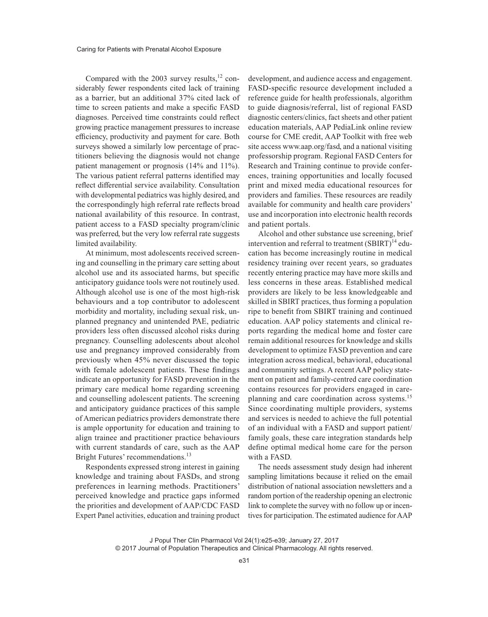Compared with the 2003 survey results, $^{12}$  considerably fewer respondents cited lack of training as a barrier, but an additional 37% cited lack of time to screen patients and make a specific FASD diagnoses. Perceived time constraints could reflect growing practice management pressures to increase efficiency, productivity and payment for care. Both surveys showed a similarly low percentage of practitioners believing the diagnosis would not change patient management or prognosis (14% and 11%). The various patient referral patterns identified may reflect differential service availability. Consultation with developmental pediatrics was highly desired, and the correspondingly high referral rate reflects broad national availability of this resource. In contrast, patient access to a FASD specialty program/clinic was preferred, but the very low referral rate suggests limited availability.

At minimum, most adolescents received screening and counselling in the primary care setting about alcohol use and its associated harms, but specific anticipatory guidance tools were not routinely used. Although alcohol use is one of the most high-risk behaviours and a top contributor to adolescent morbidity and mortality, including sexual risk, unplanned pregnancy and unintended PAE, pediatric providers less often discussed alcohol risks during pregnancy. Counselling adolescents about alcohol use and pregnancy improved considerably from previously when 45% never discussed the topic with female adolescent patients. These findings indicate an opportunity for FASD prevention in the primary care medical home regarding screening and counselling adolescent patients. The screening and anticipatory guidance practices of this sample of American pediatrics providers demonstrate there is ample opportunity for education and training to align trainee and practitioner practice behaviours with current standards of care, such as the AAP Bright Futures' recommendations.<sup>13</sup>

Respondents expressed strong interest in gaining knowledge and training about FASDs, and strong preferences in learning methods. Practitioners' perceived knowledge and practice gaps informed the priorities and development of AAP/CDC FASD Expert Panel activities, education and training product

development, and audience access and engagement. FASD-specific resource development included a reference guide for health professionals, algorithm to guide diagnosis/referral, list of regional FASD diagnostic centers/clinics, fact sheets and other patient education materials, AAP PediaLink online review course for CME credit, AAP Toolkit with free web site access www.aap.org/fasd, and a national visiting professorship program. Regional FASD Centers for Research and Training continue to provide conferences, training opportunities and locally focused print and mixed media educational resources for providers and families. These resources are readily available for community and health care providers' use and incorporation into electronic health records and patient portals.

Alcohol and other substance use screening, brief intervention and referral to treatment  $(SBIRT)^{14}$  education has become increasingly routine in medical residency training over recent years, so graduates recently entering practice may have more skills and less concerns in these areas. Established medical providers are likely to be less knowledgeable and skilled in SBIRT practices, thus forming a population ripe to benefit from SBIRT training and continued education. AAP policy statements and clinical reports regarding the medical home and foster care remain additional resources for knowledge and skills development to optimize FASD prevention and care integration across medical, behavioral, educational and community settings. A recent AAP policy statement on patient and family-centred care coordination contains resources for providers engaged in careplanning and care coordination across systems.<sup>15</sup> Since coordinating multiple providers, systems and services is needed to achieve the full potential of an individual with a FASD and support patient/ family goals, these care integration standards help define optimal medical home care for the person with a FASD.

The needs assessment study design had inherent sampling limitations because it relied on the email distribution of national association newsletters and a random portion of the readership opening an electronic link to complete the survey with no follow up or incentives for participation. The estimated audience for AAP

© 2017 Journal of Population Therapeutics and Clinical Pharmacology. All rights reserved.

J Popul Ther Clin Pharmacol Vol 24(1):e25-e39; January 27, 2017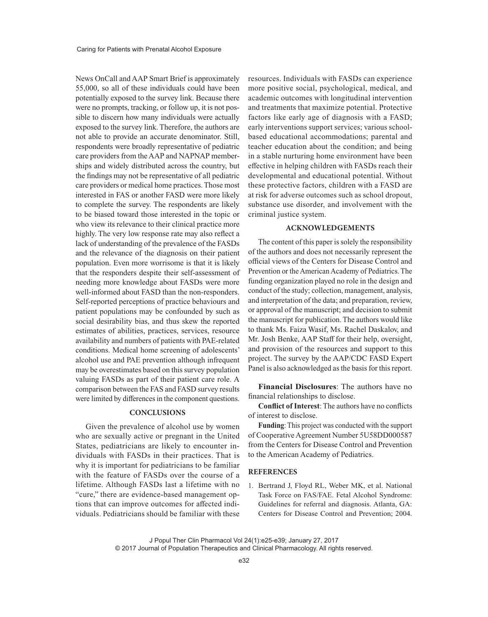News OnCall and AAP Smart Brief is approximately 55,000, so all of these individuals could have been potentially exposed to the survey link. Because there were no prompts, tracking, or follow up, it is not possible to discern how many individuals were actually exposed to the survey link. Therefore, the authors are not able to provide an accurate denominator. Still, respondents were broadly representative of pediatric care providers from the AAP and NAPNAP memberships and widely distributed across the country, but the findings may not be representative of all pediatric care providers or medical home practices. Those most interested in FAS or another FASD were more likely to complete the survey. The respondents are likely to be biased toward those interested in the topic or who view its relevance to their clinical practice more highly. The very low response rate may also reflect a lack of understanding of the prevalence of the FASDs and the relevance of the diagnosis on their patient population. Even more worrisome is that it is likely that the responders despite their self-assessment of needing more knowledge about FASDs were more well-informed about FASD than the non-responders. Self-reported perceptions of practice behaviours and patient populations may be confounded by such as social desirability bias, and thus skew the reported estimates of abilities, practices, services, resource availability and numbers of patients with PAE-related conditions. Medical home screening of adolescents' alcohol use and PAE prevention although infrequent may be overestimates based on this survey population valuing FASDs as part of their patient care role. A comparison between the FAS and FASD survey results were limited by differences in the component questions.

## **CONCLUSIONS**

Given the prevalence of alcohol use by women who are sexually active or pregnant in the United States, pediatricians are likely to encounter individuals with FASDs in their practices. That is why it is important for pediatricians to be familiar with the feature of FASDs over the course of a lifetime. Although FASDs last a lifetime with no "cure," there are evidence-based management options that can improve outcomes for affected individuals. Pediatricians should be familiar with these resources. Individuals with FASDs can experience more positive social, psychological, medical, and academic outcomes with longitudinal intervention and treatments that maximize potential. Protective factors like early age of diagnosis with a FASD; early interventions support services; various schoolbased educational accommodations; parental and teacher education about the condition; and being in a stable nurturing home environment have been effective in helping children with FASDs reach their developmental and educational potential. Without these protective factors, children with a FASD are at risk for adverse outcomes such as school dropout, substance use disorder, and involvement with the criminal justice system.

#### **ACKNOWLEDGEMENTS**

The content of this paper is solely the responsibility of the authors and does not necessarily represent the official views of the Centers for Disease Control and Prevention or the American Academy of Pediatrics. The funding organization played no role in the design and conduct of the study; collection, management, analysis, and interpretation of the data; and preparation, review, or approval of the manuscript; and decision to submit the manuscript for publication. The authors would like to thank Ms. Faiza Wasif, Ms. Rachel Daskalov, and Mr. Josh Benke, AAP Staff for their help, oversight, and provision of the resources and support to this project. The survey by the AAP/CDC FASD Expert Panel is also acknowledged as the basis for this report.

**Financial Disclosures**: The authors have no financial relationships to disclose.

**Conflict of Interest**: The authors have no conflicts of interest to disclose.

**Funding**: This project was conducted with the support of Cooperative Agreement Number 5U58DD000587 from the Centers for Disease Control and Prevention to the American Academy of Pediatrics.

#### **REFERENCES**

1. Bertrand J, Floyd RL, Weber MK, et al. National Task Force on FAS/FAE. Fetal Alcohol Syndrome: Guidelines for referral and diagnosis. Atlanta, GA: Centers for Disease Control and Prevention; 2004.

J Popul Ther Clin Pharmacol Vol 24(1):e25-e39; January 27, 2017 © 2017 Journal of Population Therapeutics and Clinical Pharmacology. All rights reserved.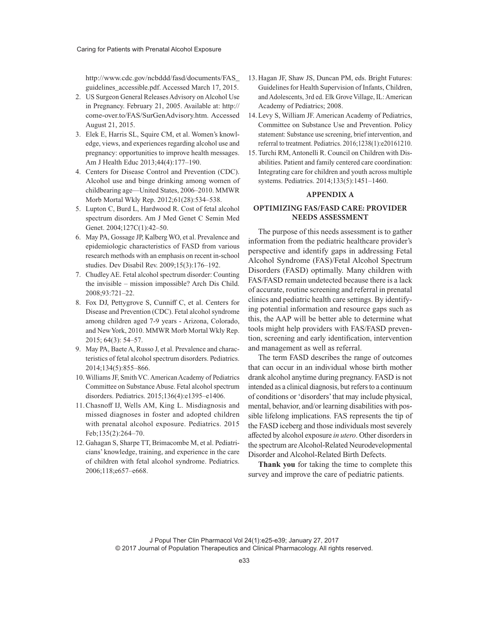http://www.cdc.gov/ncbddd/fasd/documents/FAS\_ guidelines\_accessible.pdf. Accessed March 17, 2015.

- 2. US Surgeon General Releases Advisory on Alcohol Use in Pregnancy. February 21, 2005. Available at: http:// come-over.to/FAS/SurGenAdvisory.htm. Accessed August 21, 2015.
- 3. Elek E, Harris SL, Squire CM, et al. Women's knowledge, views, and experiences regarding alcohol use and pregnancy: opportunities to improve health messages. Am J Health Educ 2013;44(4):177–190.
- 4. Centers for Disease Control and Prevention (CDC). Alcohol use and binge drinking among women of childbearing age—United States, 2006–2010. MMWR Morb Mortal Wkly Rep. 2012;61(28):534–538.
- 5. Lupton C, Burd L, Hardwood R. Cost of fetal alcohol spectrum disorders. Am J Med Genet C Semin Med Genet. 2004;127C(1):42–50.
- 6. May PA, Gossage JP, Kalberg WO, et al. Prevalence and epidemiologic characteristics of FASD from various research methods with an emphasis on recent in-school studies. Dev Disabil Rev. 2009;15(3):176–192.
- 7. Chudley AE. Fetal alcohol spectrum disorder: Counting the invisible – mission impossible? Arch Dis Child. 2008;93:721–22.
- 8. Fox DJ, Pettygrove S, Cunniff C, et al. Centers for Disease and Prevention (CDC). Fetal alcohol syndrome among children aged 7-9 years - Arizona, Colorado, and New York, 2010. MMWR Morb Mortal Wkly Rep. 2015; 64(3): 54–57.
- 9. May PA, Baete A, Russo J, et al. Prevalence and characteristics of fetal alcohol spectrum disorders. Pediatrics. 2014;134(5):855–866.
- 10.Williams JF, Smith VC. American Academy of Pediatrics Committee on Substance Abuse. Fetal alcohol spectrum disorders. Pediatrics. 2015;136(4):e1395–e1406.
- 11.Chasnoff IJ, Wells AM, King L. Misdiagnosis and missed diagnoses in foster and adopted children with prenatal alcohol exposure. Pediatrics. 2015 Feb;135(2):264–70.
- 12. Gahagan S, Sharpe TT, Brimacombe M, et al. Pediatricians' knowledge, training, and experience in the care of children with fetal alcohol syndrome. Pediatrics. 2006;118;e657–e668.
- 13. Hagan JF, Shaw JS, Duncan PM, eds. Bright Futures: Guidelines for Health Supervision of Infants, Children, and Adolescents, 3rd ed. Elk Grove Village, IL: American Academy of Pediatrics; 2008.
- 14.Levy S, William JF. American Academy of Pediatrics, Committee on Substance Use and Prevention. Policy statement: Substance use screening, brief intervention, and referral to treatment. Pediatrics. 2016;1238(1):e20161210.
- 15.Turchi RM, Antonelli R. Council on Children with Disabilities. Patient and family centered care coordination: Integrating care for children and youth across multiple systems. Pediatrics. 2014;133(5):1451–1460.

## **APPENDIX A**

## **OPTIMIZING FAS/FASD CARE: PROVIDER NEEDS ASSESSMENT**

The purpose of this needs assessment is to gather information from the pediatric healthcare provider's perspective and identify gaps in addressing Fetal Alcohol Syndrome (FAS)/Fetal Alcohol Spectrum Disorders (FASD) optimally. Many children with FAS/FASD remain undetected because there is a lack of accurate, routine screening and referral in prenatal clinics and pediatric health care settings. By identifying potential information and resource gaps such as this, the AAP will be better able to determine what tools might help providers with FAS/FASD prevention, screening and early identification, intervention and management as well as referral.

The term FASD describes the range of outcomes that can occur in an individual whose birth mother drank alcohol anytime during pregnancy. FASD is not intended as a clinical diagnosis, but refers to a continuum of conditions or 'disorders' that may include physical, mental, behavior, and/or learning disabilities with possible lifelong implications. FAS represents the tip of the FASD iceberg and those individuals most severely affected by alcohol exposure *in utero*. Other disorders in the spectrum are Alcohol-Related Neurodevelopmental Disorder and Alcohol-Related Birth Defects.

**Thank you** for taking the time to complete this survey and improve the care of pediatric patients.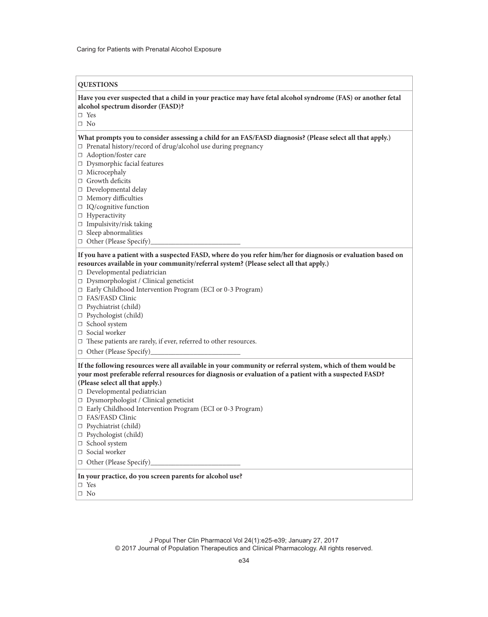### **QUESTIONS**

### **Have you ever suspected that a child in your practice may have fetal alcohol syndrome (FAS) or another fetal alcohol spectrum disorder (FASD)?**

☐ Yes

☐ No

## **What prompts you to consider assessing a child for an FAS/FASD diagnosis? (Please select all that apply.)**

☐ Prenatal history/record of drug/alcohol use during pregnancy

- □ Adoption/foster care
- ☐ Dysmorphic facial features
- □ Microcephaly
- □ Growth deficits
- □ Developmental delay
- ☐ Memory difficulties
- □ IQ/cognitive function
- □ Hyperactivity
- $\square$  Impulsivity/risk taking
- ☐ Sleep abnormalities
- □ Other (Please Specify)

## **If you have a patient with a suspected FASD, where do you refer him/her for diagnosis or evaluation based on resources available in your community/referral system? (Please select all that apply.)**

- ☐ Developmental pediatrician
- ☐ Dysmorphologist / Clinical geneticist
- ☐ Early Childhood Intervention Program (ECI or 0-3 Program)
- ☐ FAS/FASD Clinic
- ☐ Psychiatrist (child)
- □ Psychologist (child)
- □ School system
- □ Social worker
- ☐ These patients are rarely, if ever, referred to other resources.
- □ Other (Please Specify)

# **If the following resources were all available in your community or referral system, which of them would be your most preferable referral resources for diagnosis or evaluation of a patient with a suspected FASD?**

- **(Please select all that apply.)**
- ☐ Developmental pediatrician
- ☐ Dysmorphologist / Clinical geneticist
- ☐ Early Childhood Intervention Program (ECI or 0-3 Program)
- ☐ FAS/FASD Clinic
- ☐ Psychiatrist (child)
- ☐ Psychologist (child)
- ☐ School system
- □ Social worker
- $\Box$  Other (Please Specify)

### **In your practice, do you screen parents for alcohol use?**

- ☐ Yes
- ☐ No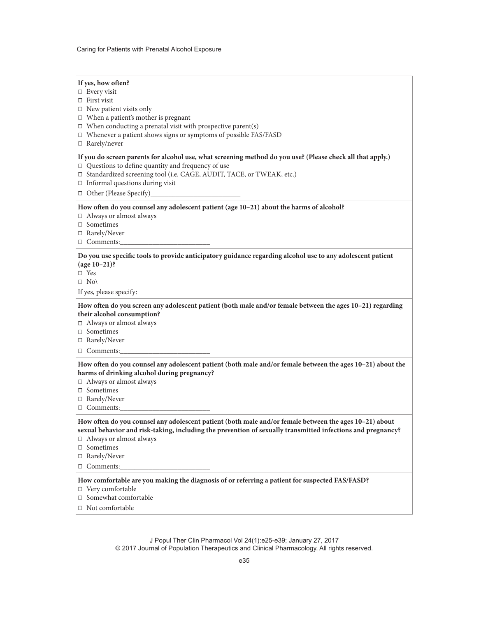| If yes, how often?<br>$\Box$ Every visit<br>$\Box$ First visit<br>$\Box$ New patient visits only<br>$\Box$ When a patient's mother is pregnant<br>$\Box$ When conducting a prenatal visit with prospective parent(s)<br>$\Box$ Whenever a patient shows signs or symptoms of possible FAS/FASD<br>$\Box$ Rarely/never  |
|------------------------------------------------------------------------------------------------------------------------------------------------------------------------------------------------------------------------------------------------------------------------------------------------------------------------|
| If you do screen parents for alcohol use, what screening method do you use? (Please check all that apply.)<br>$\Box$ Questions to define quantity and frequency of use<br>□ Standardized screening tool (i.e. CAGE, AUDIT, TACE, or TWEAK, etc.)<br>$\Box$ Informal questions during visit<br>□ Other (Please Specify) |
| How often do you counsel any adolescent patient (age 10-21) about the harms of alcohol?<br>□ Always or almost always<br>□ Sometimes<br>□ Rarely/Never<br>□ Comments:                                                                                                                                                   |
| Do you use specific tools to provide anticipatory guidance regarding alcohol use to any adolescent patient<br>$(age 10-21)?$<br>$\Box$ Yes<br>$\Box$ No<br>If yes, please specify:                                                                                                                                     |
| How often do you screen any adolescent patient (both male and/or female between the ages 10-21) regarding<br>their alcohol consumption?<br>$\Box$ Always or almost always<br>$\Box$ Sometimes<br>□ Rarely/Never<br>$\Box$ Comments:                                                                                    |
| How often do you counsel any adolescent patient (both male and/or female between the ages 10-21) about the<br>harms of drinking alcohol during pregnancy?<br>$\Box$ Always or almost always<br>$\Box$ Sometimes<br>□ Rarely/Never<br>$\Box$ Comments:                                                                  |
| How often do you counsel any adolescent patient (both male and/or female between the ages 10-21) about<br>sexual behavior and risk-taking, including the prevention of sexually transmitted infections and pregnancy?<br>$\Box$ Always or almost always<br>$\Box$ Sometimes<br>□ Rarely/Never<br>□ Comments:           |
| How comfortable are you making the diagnosis of or referring a patient for suspected FAS/FASD?<br>$\Box$ Very comfortable<br>□ Somewhat comfortable                                                                                                                                                                    |

 $\Box$  Not comfortable

J Popul Ther Clin Pharmacol Vol 24(1):e25-e39; January 27, 2017 © 2017 Journal of Population Therapeutics and Clinical Pharmacology. All rights reserved.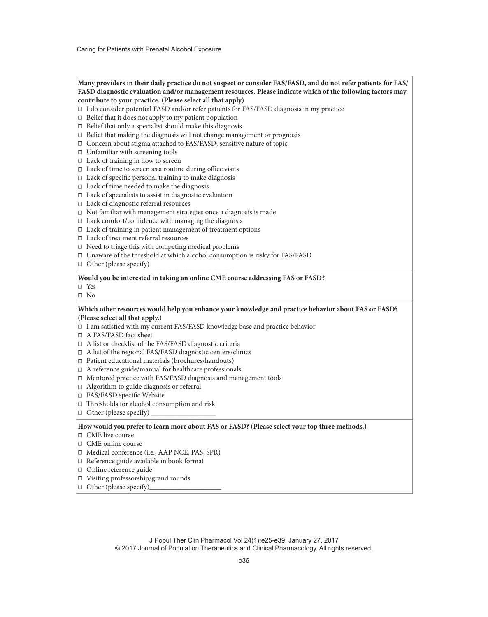## **Many providers in their daily practice do not suspect or consider FAS/FASD, and do not refer patients for FAS/ FASD diagnostic evaluation and/or management resources. Please indicate which of the following factors may contribute to your practice. (Please select all that apply)**

- ☐ I do consider potential FASD and/or refer patients for FAS/FASD diagnosis in my practice
- $\Box$  Belief that it does not apply to my patient population
- $\Box$  Belief that only a specialist should make this diagnosis
- $\Box$  Belief that making the diagnosis will not change management or prognosis
- □ Concern about stigma attached to FAS/FASD; sensitive nature of topic
- □ Unfamiliar with screening tools
- □ Lack of training in how to screen
- $\Box$  Lack of time to screen as a routine during office visits
- $\Box$  Lack of specific personal training to make diagnosis
- $\Box$  Lack of time needed to make the diagnosis
- ☐ Lack of specialists to assist in diagnostic evaluation
- ☐ Lack of diagnostic referral resources
- ☐ Not familiar with management strategies once a diagnosis is made
- $\Box$  Lack comfort/confidence with managing the diagnosis
- □ Lack of training in patient management of treatment options
- ☐ Lack of treatment referral resources
- $\Box$  Need to triage this with competing medical problems
- ☐ Unaware of the threshold at which alcohol consumption is risky for FAS/FASD
- $\Box$  Other (please specify)

### **Would you be interested in taking an online CME course addressing FAS or FASD?**

- ☐ Yes
- ☐ No

### **Which other resources would help you enhance your knowledge and practice behavior about FAS or FASD? (Please select all that apply.)**

- □ I am satisfied with my current FAS/FASD knowledge base and practice behavior
- □ A FAS/FASD fact sheet
- ☐ A list or checklist of the FAS/FASD diagnostic criteria
- ☐ A list of the regional FAS/FASD diagnostic centers/clinics
- ☐ Patient educational materials (brochures/handouts)
- ☐ A reference guide/manual for healthcare professionals
- ☐ Mentored practice with FAS/FASD diagnosis and management tools
- ☐ Algorithm to guide diagnosis or referral
- ☐ FAS/FASD specific Website
- ☐ Thresholds for alcohol consumption and risk
- $\Box$  Other (please specify)

#### **How would you prefer to learn more about FAS or FASD? (Please select your top three methods.)**

- ☐ CME live course
- ☐ CME online course
- ☐ Medical conference (i.e., AAP NCE, PAS, SPR)
- ☐ Reference guide available in book format
- □ Online reference guide
- ☐ Visiting professorship/grand rounds
- $\Box$  Other (please specify)